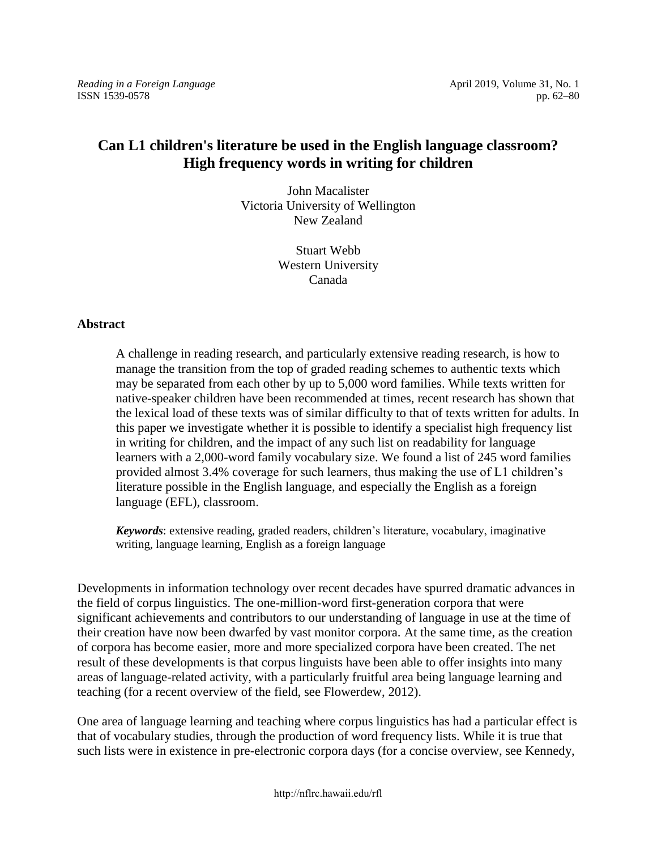*Reading in a Foreign Language* **April 2019, Volume 31, No. 1** April 2019, Volume 31, No. 1 ISSN 1539-0578 pp. 62–80

# **Can L1 children's literature be used in the English language classroom? High frequency words in writing for children**

John Macalister Victoria University of Wellington New Zealand

> Stuart Webb Western University Canada

# **Abstract**

A challenge in reading research, and particularly extensive reading research, is how to manage the transition from the top of graded reading schemes to authentic texts which may be separated from each other by up to 5,000 word families. While texts written for native-speaker children have been recommended at times, recent research has shown that the lexical load of these texts was of similar difficulty to that of texts written for adults. In this paper we investigate whether it is possible to identify a specialist high frequency list in writing for children, and the impact of any such list on readability for language learners with a 2,000-word family vocabulary size. We found a list of 245 word families provided almost 3.4% coverage for such learners, thus making the use of L1 children's literature possible in the English language, and especially the English as a foreign language (EFL), classroom.

*Keywords*: extensive reading, graded readers, children's literature, vocabulary, imaginative writing, language learning, English as a foreign language

Developments in information technology over recent decades have spurred dramatic advances in the field of corpus linguistics. The one-million-word first-generation corpora that were significant achievements and contributors to our understanding of language in use at the time of their creation have now been dwarfed by vast monitor corpora. At the same time, as the creation of corpora has become easier, more and more specialized corpora have been created. The net result of these developments is that corpus linguists have been able to offer insights into many areas of language-related activity, with a particularly fruitful area being language learning and teaching (for a recent overview of the field, see Flowerdew, 2012).

One area of language learning and teaching where corpus linguistics has had a particular effect is that of vocabulary studies, through the production of word frequency lists. While it is true that such lists were in existence in pre-electronic corpora days (for a concise overview, see Kennedy,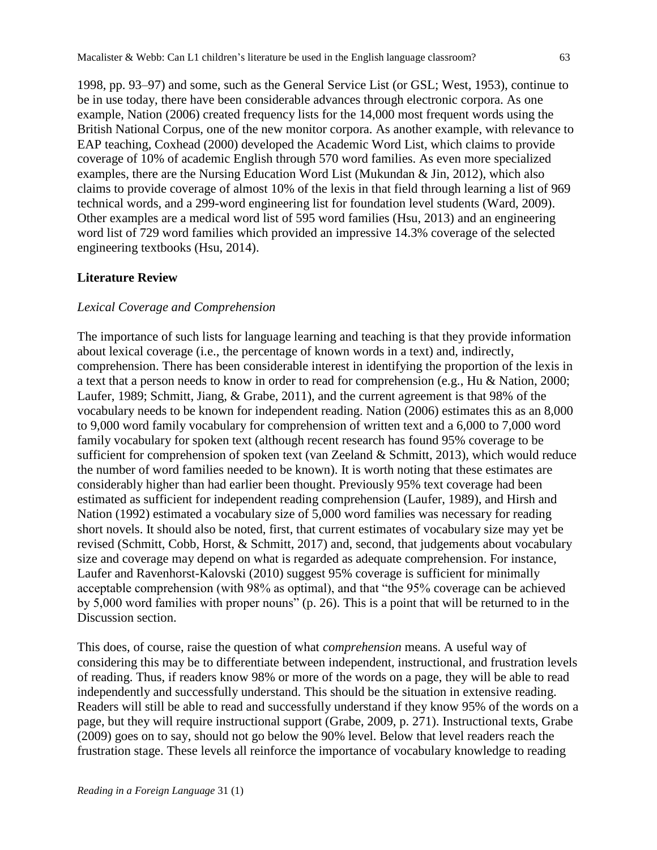1998, pp. 93–97) and some, such as the General Service List (or GSL; West, 1953), continue to be in use today, there have been considerable advances through electronic corpora. As one example, Nation (2006) created frequency lists for the 14,000 most frequent words using the British National Corpus, one of the new monitor corpora. As another example, with relevance to EAP teaching, Coxhead (2000) developed the Academic Word List, which claims to provide coverage of 10% of academic English through 570 word families. As even more specialized examples, there are the Nursing Education Word List (Mukundan & Jin, 2012), which also claims to provide coverage of almost 10% of the lexis in that field through learning a list of 969 technical words, and a 299-word engineering list for foundation level students (Ward, 2009). Other examples are a medical word list of 595 word families (Hsu, 2013) and an engineering word list of 729 word families which provided an impressive 14.3% coverage of the selected engineering textbooks (Hsu, 2014).

# **Literature Review**

# *Lexical Coverage and Comprehension*

The importance of such lists for language learning and teaching is that they provide information about lexical coverage (i.e., the percentage of known words in a text) and, indirectly, comprehension. There has been considerable interest in identifying the proportion of the lexis in a text that a person needs to know in order to read for comprehension (e.g., Hu & Nation, 2000; Laufer, 1989; Schmitt, Jiang, & Grabe, 2011), and the current agreement is that 98% of the vocabulary needs to be known for independent reading. Nation (2006) estimates this as an 8,000 to 9,000 word family vocabulary for comprehension of written text and a 6,000 to 7,000 word family vocabulary for spoken text (although recent research has found 95% coverage to be sufficient for comprehension of spoken text (van Zeeland & Schmitt, 2013), which would reduce the number of word families needed to be known). It is worth noting that these estimates are considerably higher than had earlier been thought. Previously 95% text coverage had been estimated as sufficient for independent reading comprehension (Laufer, 1989), and Hirsh and Nation (1992) estimated a vocabulary size of 5,000 word families was necessary for reading short novels. It should also be noted, first, that current estimates of vocabulary size may yet be revised (Schmitt, Cobb, Horst, & Schmitt, 2017) and, second, that judgements about vocabulary size and coverage may depend on what is regarded as adequate comprehension. For instance, Laufer and Ravenhorst-Kalovski (2010) suggest 95% coverage is sufficient for minimally acceptable comprehension (with 98% as optimal), and that "the 95% coverage can be achieved by 5,000 word families with proper nouns" (p. 26). This is a point that will be returned to in the Discussion section.

This does, of course, raise the question of what *comprehension* means. A useful way of considering this may be to differentiate between independent, instructional, and frustration levels of reading. Thus, if readers know 98% or more of the words on a page, they will be able to read independently and successfully understand. This should be the situation in extensive reading. Readers will still be able to read and successfully understand if they know 95% of the words on a page, but they will require instructional support (Grabe, 2009, p. 271). Instructional texts, Grabe (2009) goes on to say, should not go below the 90% level. Below that level readers reach the frustration stage. These levels all reinforce the importance of vocabulary knowledge to reading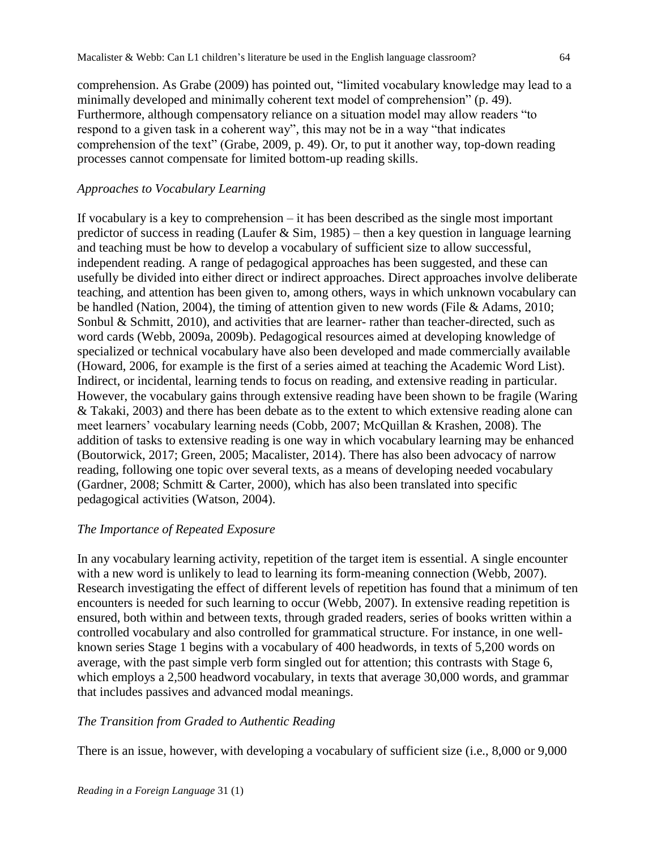comprehension. As Grabe (2009) has pointed out, "limited vocabulary knowledge may lead to a minimally developed and minimally coherent text model of comprehension" (p. 49). Furthermore, although compensatory reliance on a situation model may allow readers "to respond to a given task in a coherent way", this may not be in a way "that indicates comprehension of the text" (Grabe, 2009, p. 49). Or, to put it another way, top-down reading processes cannot compensate for limited bottom-up reading skills.

# *Approaches to Vocabulary Learning*

If vocabulary is a key to comprehension – it has been described as the single most important predictor of success in reading (Laufer & Sim, 1985) – then a key question in language learning and teaching must be how to develop a vocabulary of sufficient size to allow successful, independent reading. A range of pedagogical approaches has been suggested, and these can usefully be divided into either direct or indirect approaches. Direct approaches involve deliberate teaching, and attention has been given to, among others, ways in which unknown vocabulary can be handled (Nation, 2004), the timing of attention given to new words (File & Adams, 2010; Sonbul & Schmitt, 2010), and activities that are learner- rather than teacher-directed, such as word cards (Webb, 2009a, 2009b). Pedagogical resources aimed at developing knowledge of specialized or technical vocabulary have also been developed and made commercially available (Howard, 2006, for example is the first of a series aimed at teaching the Academic Word List). Indirect, or incidental, learning tends to focus on reading, and extensive reading in particular. However, the vocabulary gains through extensive reading have been shown to be fragile (Waring & Takaki, 2003) and there has been debate as to the extent to which extensive reading alone can meet learners' vocabulary learning needs (Cobb, 2007; McQuillan & Krashen, 2008). The addition of tasks to extensive reading is one way in which vocabulary learning may be enhanced (Boutorwick, 2017; Green, 2005; Macalister, 2014). There has also been advocacy of narrow reading, following one topic over several texts, as a means of developing needed vocabulary (Gardner, 2008; Schmitt & Carter, 2000), which has also been translated into specific pedagogical activities (Watson, 2004).

# *The Importance of Repeated Exposure*

In any vocabulary learning activity, repetition of the target item is essential. A single encounter with a new word is unlikely to lead to learning its form-meaning connection (Webb, 2007). Research investigating the effect of different levels of repetition has found that a minimum of ten encounters is needed for such learning to occur (Webb, 2007). In extensive reading repetition is ensured, both within and between texts, through graded readers, series of books written within a controlled vocabulary and also controlled for grammatical structure. For instance, in one wellknown series Stage 1 begins with a vocabulary of 400 headwords, in texts of 5,200 words on average, with the past simple verb form singled out for attention; this contrasts with Stage 6, which employs a 2,500 headword vocabulary, in texts that average 30,000 words, and grammar that includes passives and advanced modal meanings.

# *The Transition from Graded to Authentic Reading*

There is an issue, however, with developing a vocabulary of sufficient size (i.e., 8,000 or 9,000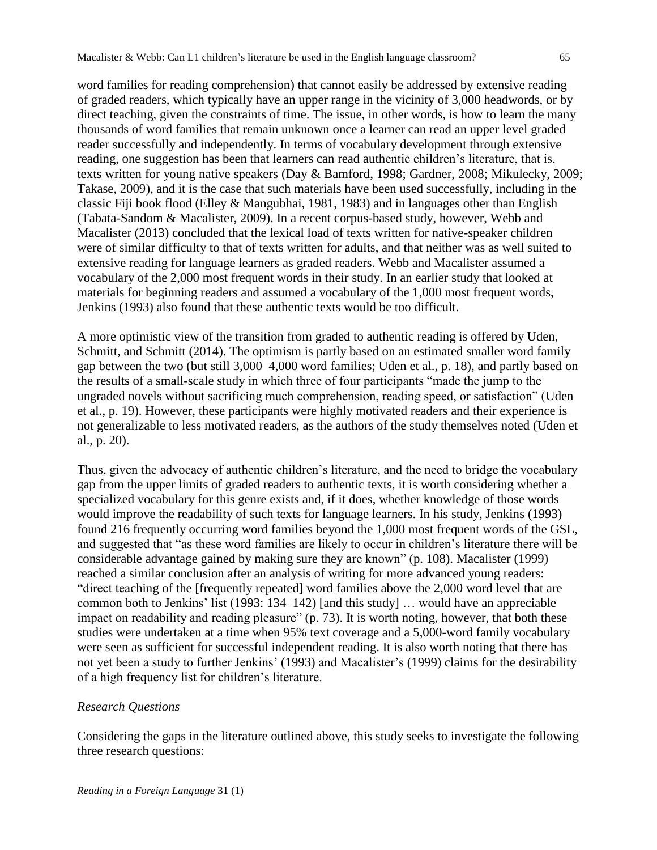word families for reading comprehension) that cannot easily be addressed by extensive reading of graded readers, which typically have an upper range in the vicinity of 3,000 headwords, or by direct teaching, given the constraints of time. The issue, in other words, is how to learn the many thousands of word families that remain unknown once a learner can read an upper level graded reader successfully and independently. In terms of vocabulary development through extensive reading, one suggestion has been that learners can read authentic children's literature, that is, texts written for young native speakers (Day & Bamford, 1998; Gardner, 2008; Mikulecky, 2009; Takase, 2009), and it is the case that such materials have been used successfully, including in the classic Fiji book flood (Elley & Mangubhai, 1981, 1983) and in languages other than English (Tabata-Sandom & Macalister, 2009). In a recent corpus-based study, however, Webb and Macalister (2013) concluded that the lexical load of texts written for native-speaker children were of similar difficulty to that of texts written for adults, and that neither was as well suited to extensive reading for language learners as graded readers. Webb and Macalister assumed a vocabulary of the 2,000 most frequent words in their study. In an earlier study that looked at materials for beginning readers and assumed a vocabulary of the 1,000 most frequent words, Jenkins (1993) also found that these authentic texts would be too difficult.

A more optimistic view of the transition from graded to authentic reading is offered by Uden, Schmitt, and Schmitt (2014). The optimism is partly based on an estimated smaller word family gap between the two (but still 3,000–4,000 word families; Uden et al., p. 18), and partly based on the results of a small-scale study in which three of four participants "made the jump to the ungraded novels without sacrificing much comprehension, reading speed, or satisfaction" (Uden et al., p. 19). However, these participants were highly motivated readers and their experience is not generalizable to less motivated readers, as the authors of the study themselves noted (Uden et al., p. 20).

Thus, given the advocacy of authentic children's literature, and the need to bridge the vocabulary gap from the upper limits of graded readers to authentic texts, it is worth considering whether a specialized vocabulary for this genre exists and, if it does, whether knowledge of those words would improve the readability of such texts for language learners. In his study, Jenkins (1993) found 216 frequently occurring word families beyond the 1,000 most frequent words of the GSL, and suggested that "as these word families are likely to occur in children's literature there will be considerable advantage gained by making sure they are known" (p. 108). Macalister (1999) reached a similar conclusion after an analysis of writing for more advanced young readers: "direct teaching of the [frequently repeated] word families above the 2,000 word level that are common both to Jenkins' list (1993: 134–142) [and this study] … would have an appreciable impact on readability and reading pleasure" (p. 73). It is worth noting, however, that both these studies were undertaken at a time when 95% text coverage and a 5,000-word family vocabulary were seen as sufficient for successful independent reading. It is also worth noting that there has not yet been a study to further Jenkins' (1993) and Macalister's (1999) claims for the desirability of a high frequency list for children's literature.

#### *Research Questions*

Considering the gaps in the literature outlined above, this study seeks to investigate the following three research questions: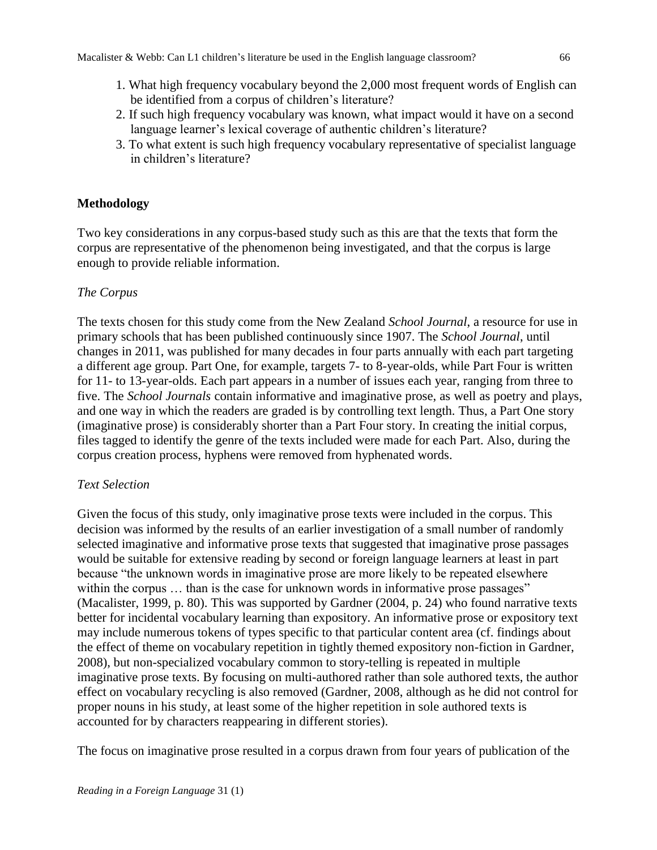- 1. What high frequency vocabulary beyond the 2,000 most frequent words of English can be identified from a corpus of children's literature?
- 2. If such high frequency vocabulary was known, what impact would it have on a second language learner's lexical coverage of authentic children's literature?
- 3. To what extent is such high frequency vocabulary representative of specialist language in children's literature?

# **Methodology**

Two key considerations in any corpus-based study such as this are that the texts that form the corpus are representative of the phenomenon being investigated, and that the corpus is large enough to provide reliable information.

# *The Corpus*

The texts chosen for this study come from the New Zealand *School Journal*, a resource for use in primary schools that has been published continuously since 1907. The *School Journal*, until changes in 2011, was published for many decades in four parts annually with each part targeting a different age group. Part One, for example, targets 7- to 8-year-olds, while Part Four is written for 11- to 13-year-olds. Each part appears in a number of issues each year, ranging from three to five. The *School Journals* contain informative and imaginative prose, as well as poetry and plays, and one way in which the readers are graded is by controlling text length. Thus, a Part One story (imaginative prose) is considerably shorter than a Part Four story. In creating the initial corpus, files tagged to identify the genre of the texts included were made for each Part. Also, during the corpus creation process, hyphens were removed from hyphenated words.

# *Text Selection*

Given the focus of this study, only imaginative prose texts were included in the corpus. This decision was informed by the results of an earlier investigation of a small number of randomly selected imaginative and informative prose texts that suggested that imaginative prose passages would be suitable for extensive reading by second or foreign language learners at least in part because "the unknown words in imaginative prose are more likely to be repeated elsewhere within the corpus ... than is the case for unknown words in informative prose passages" (Macalister, 1999, p. 80). This was supported by Gardner (2004, p. 24) who found narrative texts better for incidental vocabulary learning than expository. An informative prose or expository text may include numerous tokens of types specific to that particular content area (cf. findings about the effect of theme on vocabulary repetition in tightly themed expository non-fiction in Gardner, 2008), but non-specialized vocabulary common to story-telling is repeated in multiple imaginative prose texts. By focusing on multi-authored rather than sole authored texts, the author effect on vocabulary recycling is also removed (Gardner, 2008, although as he did not control for proper nouns in his study, at least some of the higher repetition in sole authored texts is accounted for by characters reappearing in different stories).

The focus on imaginative prose resulted in a corpus drawn from four years of publication of the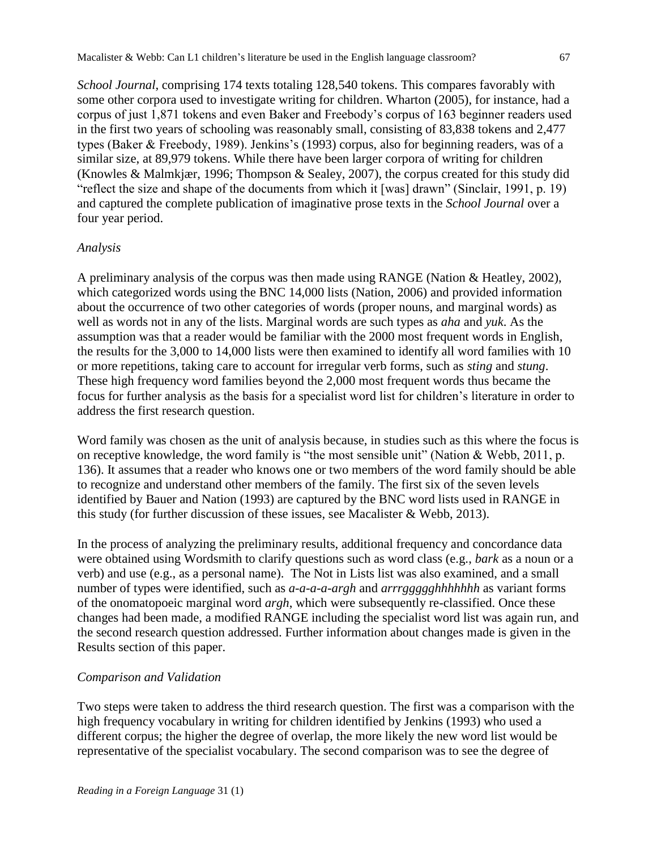*School Journal*, comprising 174 texts totaling 128,540 tokens. This compares favorably with some other corpora used to investigate writing for children. Wharton (2005), for instance, had a corpus of just 1,871 tokens and even Baker and Freebody's corpus of 163 beginner readers used in the first two years of schooling was reasonably small, consisting of 83,838 tokens and 2,477 types (Baker & Freebody, 1989). Jenkins's (1993) corpus, also for beginning readers, was of a similar size, at 89,979 tokens. While there have been larger corpora of writing for children (Knowles & Malmkjær, 1996; Thompson & Sealey, 2007), the corpus created for this study did "reflect the size and shape of the documents from which it [was] drawn" (Sinclair, 1991, p. 19) and captured the complete publication of imaginative prose texts in the *School Journal* over a four year period.

#### *Analysis*

A preliminary analysis of the corpus was then made using RANGE (Nation & Heatley, 2002), which categorized words using the BNC 14,000 lists (Nation, 2006) and provided information about the occurrence of two other categories of words (proper nouns, and marginal words) as well as words not in any of the lists. Marginal words are such types as *aha* and *yuk*. As the assumption was that a reader would be familiar with the 2000 most frequent words in English, the results for the 3,000 to 14,000 lists were then examined to identify all word families with 10 or more repetitions, taking care to account for irregular verb forms, such as *sting* and *stung*. These high frequency word families beyond the 2,000 most frequent words thus became the focus for further analysis as the basis for a specialist word list for children's literature in order to address the first research question.

Word family was chosen as the unit of analysis because, in studies such as this where the focus is on receptive knowledge, the word family is "the most sensible unit" (Nation & Webb, 2011, p. 136). It assumes that a reader who knows one or two members of the word family should be able to recognize and understand other members of the family. The first six of the seven levels identified by Bauer and Nation (1993) are captured by the BNC word lists used in RANGE in this study (for further discussion of these issues, see Macalister & Webb, 2013).

In the process of analyzing the preliminary results, additional frequency and concordance data were obtained using Wordsmith to clarify questions such as word class (e.g., *bark* as a noun or a verb) and use (e.g., as a personal name). The Not in Lists list was also examined, and a small number of types were identified, such as *a-a-a-a-argh* and *arrrggggghhhhhhh* as variant forms of the onomatopoeic marginal word *argh*, which were subsequently re-classified. Once these changes had been made, a modified RANGE including the specialist word list was again run, and the second research question addressed. Further information about changes made is given in the Results section of this paper.

#### *Comparison and Validation*

Two steps were taken to address the third research question. The first was a comparison with the high frequency vocabulary in writing for children identified by Jenkins (1993) who used a different corpus; the higher the degree of overlap, the more likely the new word list would be representative of the specialist vocabulary. The second comparison was to see the degree of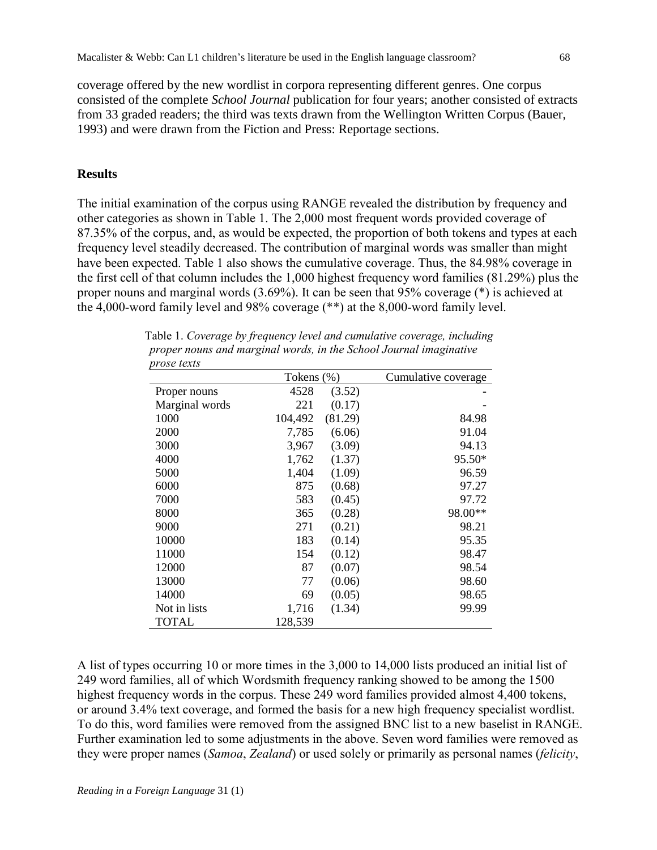coverage offered by the new wordlist in corpora representing different genres. One corpus consisted of the complete *School Journal* publication for four years; another consisted of extracts from 33 graded readers; the third was texts drawn from the Wellington Written Corpus (Bauer, 1993) and were drawn from the Fiction and Press: Reportage sections.

#### **Results**

The initial examination of the corpus using RANGE revealed the distribution by frequency and other categories as shown in Table 1. The 2,000 most frequent words provided coverage of 87.35% of the corpus, and, as would be expected, the proportion of both tokens and types at each frequency level steadily decreased. The contribution of marginal words was smaller than might have been expected. Table 1 also shows the cumulative coverage. Thus, the 84.98% coverage in the first cell of that column includes the 1,000 highest frequency word families (81.29%) plus the proper nouns and marginal words (3.69%). It can be seen that 95% coverage (\*) is achieved at the 4,000-word family level and 98% coverage (\*\*) at the 8,000-word family level.

|                | Tokens (%) |         | Cumulative coverage |
|----------------|------------|---------|---------------------|
| Proper nouns   | 4528       | (3.52)  |                     |
| Marginal words | 221        | (0.17)  |                     |
| 1000           | 104,492    | (81.29) | 84.98               |
| 2000           | 7,785      | (6.06)  | 91.04               |
| 3000           | 3,967      | (3.09)  | 94.13               |
| 4000           | 1,762      | (1.37)  | 95.50*              |
| 5000           | 1,404      | (1.09)  | 96.59               |
| 6000           | 875        | (0.68)  | 97.27               |
| 7000           | 583        | (0.45)  | 97.72               |
| 8000           | 365        | (0.28)  | 98.00**             |
| 9000           | 271        | (0.21)  | 98.21               |
| 10000          | 183        | (0.14)  | 95.35               |
| 11000          | 154        | (0.12)  | 98.47               |
| 12000          | 87         | (0.07)  | 98.54               |
| 13000          | 77         | (0.06)  | 98.60               |
| 14000          | 69         | (0.05)  | 98.65               |
| Not in lists   | 1,716      | (1.34)  | 99.99               |
| <b>TOTAL</b>   | 128,539    |         |                     |

Table 1. *Coverage by frequency level and cumulative coverage, including proper nouns and marginal words, in the School Journal imaginative prose texts*

A list of types occurring 10 or more times in the 3,000 to 14,000 lists produced an initial list of 249 word families, all of which Wordsmith frequency ranking showed to be among the 1500 highest frequency words in the corpus. These 249 word families provided almost 4,400 tokens, or around 3.4% text coverage, and formed the basis for a new high frequency specialist wordlist. To do this, word families were removed from the assigned BNC list to a new baselist in RANGE. Further examination led to some adjustments in the above. Seven word families were removed as they were proper names (*Samoa*, *Zealand*) or used solely or primarily as personal names (*felicity*,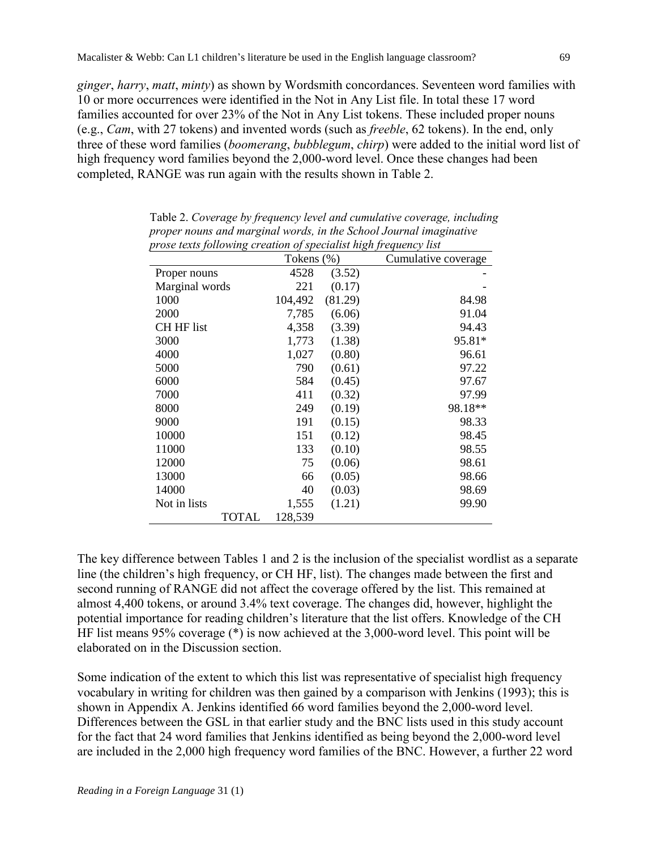*ginger*, *harry*, *matt*, *minty*) as shown by Wordsmith concordances. Seventeen word families with 10 or more occurrences were identified in the Not in Any List file. In total these 17 word families accounted for over 23% of the Not in Any List tokens. These included proper nouns (e.g., *Cam*, with 27 tokens) and invented words (such as *freeble*, 62 tokens). In the end, only three of these word families (*boomerang*, *bubblegum*, *chirp*) were added to the initial word list of high frequency word families beyond the 2,000-word level. Once these changes had been completed, RANGE was run again with the results shown in Table 2.

| prose texts following creation of specialist high frequency list |            |         |                     |  |
|------------------------------------------------------------------|------------|---------|---------------------|--|
|                                                                  | Tokens (%) |         | Cumulative coverage |  |
| Proper nouns                                                     | 4528       | (3.52)  |                     |  |
| Marginal words                                                   | 221        | (0.17)  |                     |  |
| 1000                                                             | 104,492    | (81.29) | 84.98               |  |
| 2000                                                             | 7,785      | (6.06)  | 91.04               |  |
| <b>CH HF list</b>                                                | 4,358      | (3.39)  | 94.43               |  |
| 3000                                                             | 1,773      | (1.38)  | 95.81*              |  |
| 4000                                                             | 1,027      | (0.80)  | 96.61               |  |
| 5000                                                             | 790        | (0.61)  | 97.22               |  |
| 6000                                                             | 584        | (0.45)  | 97.67               |  |
| 7000                                                             | 411        | (0.32)  | 97.99               |  |
| 8000                                                             | 249        | (0.19)  | 98.18**             |  |
| 9000                                                             | 191        | (0.15)  | 98.33               |  |
| 10000                                                            | 151        | (0.12)  | 98.45               |  |
| 11000                                                            | 133        | (0.10)  | 98.55               |  |
| 12000                                                            | 75         | (0.06)  | 98.61               |  |
| 13000                                                            | 66         | (0.05)  | 98.66               |  |
| 14000                                                            | 40         | (0.03)  | 98.69               |  |
| Not in lists                                                     | 1,555      | (1.21)  | 99.90               |  |
| TOTAL                                                            | 128,539    |         |                     |  |

Table 2. *Coverage by frequency level and cumulative coverage, including proper nouns and marginal words, in the School Journal imaginative prose texts following creation of specialist high frequency list*

The key difference between Tables 1 and 2 is the inclusion of the specialist wordlist as a separate line (the children's high frequency, or CH HF, list). The changes made between the first and second running of RANGE did not affect the coverage offered by the list. This remained at almost 4,400 tokens, or around 3.4% text coverage. The changes did, however, highlight the potential importance for reading children's literature that the list offers. Knowledge of the CH HF list means 95% coverage (\*) is now achieved at the 3,000-word level. This point will be elaborated on in the Discussion section.

Some indication of the extent to which this list was representative of specialist high frequency vocabulary in writing for children was then gained by a comparison with Jenkins (1993); this is shown in Appendix A. Jenkins identified 66 word families beyond the 2,000-word level. Differences between the GSL in that earlier study and the BNC lists used in this study account for the fact that 24 word families that Jenkins identified as being beyond the 2,000-word level are included in the 2,000 high frequency word families of the BNC. However, a further 22 word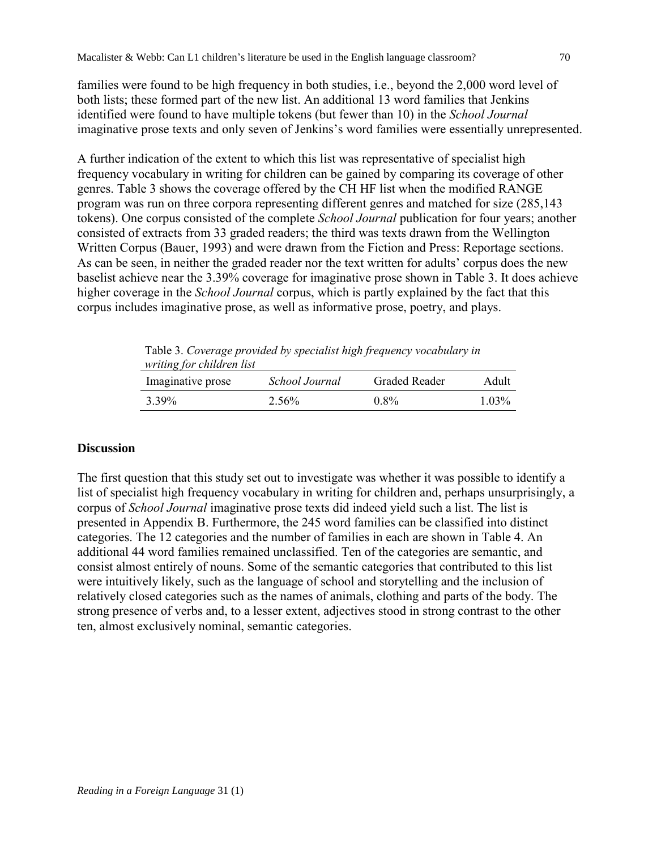families were found to be high frequency in both studies, i.e., beyond the 2,000 word level of both lists; these formed part of the new list. An additional 13 word families that Jenkins identified were found to have multiple tokens (but fewer than 10) in the *School Journal* imaginative prose texts and only seven of Jenkins's word families were essentially unrepresented.

A further indication of the extent to which this list was representative of specialist high frequency vocabulary in writing for children can be gained by comparing its coverage of other genres. Table 3 shows the coverage offered by the CH HF list when the modified RANGE program was run on three corpora representing different genres and matched for size (285,143 tokens). One corpus consisted of the complete *School Journal* publication for four years; another consisted of extracts from 33 graded readers; the third was texts drawn from the Wellington Written Corpus (Bauer, 1993) and were drawn from the Fiction and Press: Reportage sections. As can be seen, in neither the graded reader nor the text written for adults' corpus does the new baselist achieve near the 3.39% coverage for imaginative prose shown in Table 3. It does achieve higher coverage in the *School Journal* corpus, which is partly explained by the fact that this corpus includes imaginative prose, as well as informative prose, poetry, and plays.

| writing for children list |                | Table 3. Coverage provided by specialist high frequency vocabulary in |       |
|---------------------------|----------------|-----------------------------------------------------------------------|-------|
|                           |                |                                                                       |       |
| Imaginative prose         | School Journal | Graded Reader                                                         | Adult |

# 3.39% 2.56% 0.8% 1.03%

# **Discussion**

The first question that this study set out to investigate was whether it was possible to identify a list of specialist high frequency vocabulary in writing for children and, perhaps unsurprisingly, a corpus of *School Journal* imaginative prose texts did indeed yield such a list. The list is presented in Appendix B. Furthermore, the 245 word families can be classified into distinct categories. The 12 categories and the number of families in each are shown in Table 4. An additional 44 word families remained unclassified. Ten of the categories are semantic, and consist almost entirely of nouns. Some of the semantic categories that contributed to this list were intuitively likely, such as the language of school and storytelling and the inclusion of relatively closed categories such as the names of animals, clothing and parts of the body. The strong presence of verbs and, to a lesser extent, adjectives stood in strong contrast to the other ten, almost exclusively nominal, semantic categories.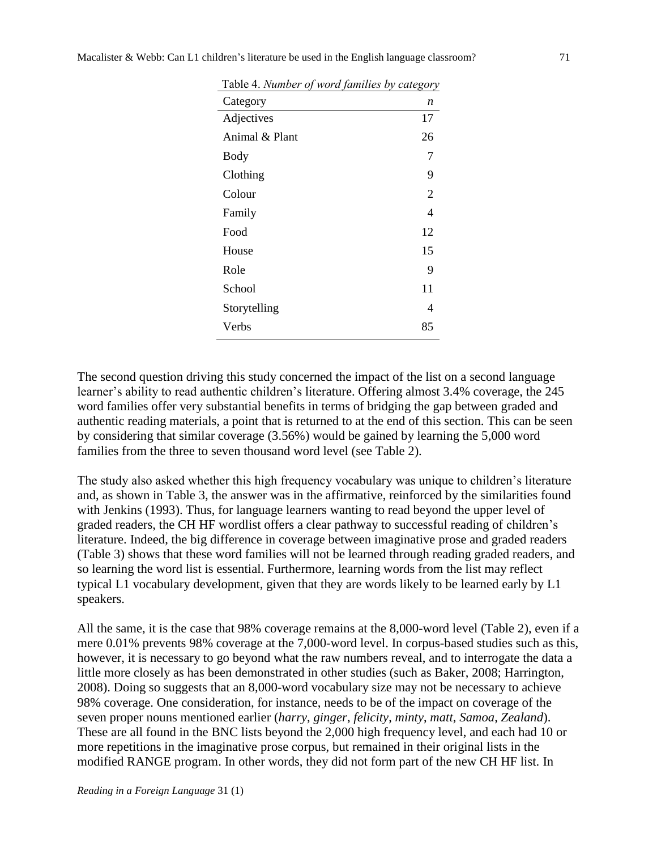| Table 4. Number of word families by category |    |
|----------------------------------------------|----|
| Category                                     | n  |
| Adjectives                                   | 17 |
| Animal & Plant                               | 26 |
| Body                                         | 7  |
| Clothing                                     | 9  |
| Colour                                       | 2  |
| Family                                       | 4  |
| Food                                         | 12 |
| House                                        | 15 |
| Role                                         | 9  |
| School                                       | 11 |
| Storytelling                                 | 4  |
| Verbs                                        | 85 |
|                                              |    |

The second question driving this study concerned the impact of the list on a second language learner's ability to read authentic children's literature. Offering almost 3.4% coverage, the 245 word families offer very substantial benefits in terms of bridging the gap between graded and authentic reading materials, a point that is returned to at the end of this section. This can be seen by considering that similar coverage (3.56%) would be gained by learning the 5,000 word families from the three to seven thousand word level (see Table 2).

The study also asked whether this high frequency vocabulary was unique to children's literature and, as shown in Table 3, the answer was in the affirmative, reinforced by the similarities found with Jenkins (1993). Thus, for language learners wanting to read beyond the upper level of graded readers, the CH HF wordlist offers a clear pathway to successful reading of children's literature. Indeed, the big difference in coverage between imaginative prose and graded readers (Table 3) shows that these word families will not be learned through reading graded readers, and so learning the word list is essential. Furthermore, learning words from the list may reflect typical L1 vocabulary development, given that they are words likely to be learned early by L1 speakers.

All the same, it is the case that 98% coverage remains at the 8,000-word level (Table 2), even if a mere 0.01% prevents 98% coverage at the 7,000-word level. In corpus-based studies such as this, however, it is necessary to go beyond what the raw numbers reveal, and to interrogate the data a little more closely as has been demonstrated in other studies (such as Baker, 2008; Harrington, 2008). Doing so suggests that an 8,000-word vocabulary size may not be necessary to achieve 98% coverage. One consideration, for instance, needs to be of the impact on coverage of the seven proper nouns mentioned earlier (*harry*, *ginger*, *felicity*, *minty*, *matt*, *Samoa*, *Zealand*). These are all found in the BNC lists beyond the 2,000 high frequency level, and each had 10 or more repetitions in the imaginative prose corpus, but remained in their original lists in the modified RANGE program. In other words, they did not form part of the new CH HF list. In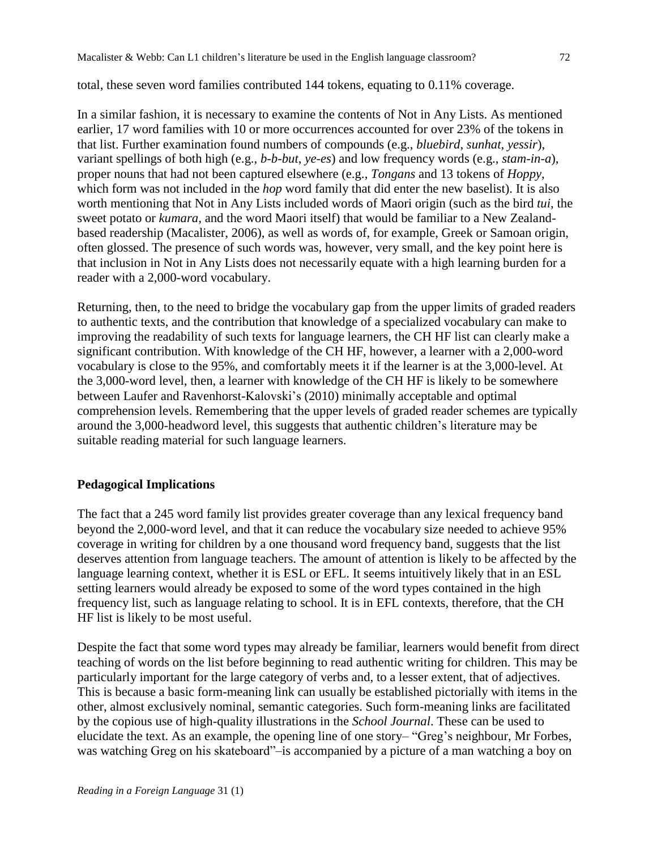# total, these seven word families contributed 144 tokens, equating to 0.11% coverage.

In a similar fashion, it is necessary to examine the contents of Not in Any Lists. As mentioned earlier, 17 word families with 10 or more occurrences accounted for over 23% of the tokens in that list. Further examination found numbers of compounds (e.g., *bluebird*, *sunhat*, *yessir*), variant spellings of both high (e.g., *b-b-but*, *ye-es*) and low frequency words (e.g., *stam-in-a*), proper nouns that had not been captured elsewhere (e.g., *Tongans* and 13 tokens of *Hoppy*, which form was not included in the *hop* word family that did enter the new baselist). It is also worth mentioning that Not in Any Lists included words of Maori origin (such as the bird *tui*, the sweet potato or *kumara*, and the word Maori itself) that would be familiar to a New Zealandbased readership (Macalister, 2006), as well as words of, for example, Greek or Samoan origin, often glossed. The presence of such words was, however, very small, and the key point here is that inclusion in Not in Any Lists does not necessarily equate with a high learning burden for a reader with a 2,000-word vocabulary.

Returning, then, to the need to bridge the vocabulary gap from the upper limits of graded readers to authentic texts, and the contribution that knowledge of a specialized vocabulary can make to improving the readability of such texts for language learners, the CH HF list can clearly make a significant contribution. With knowledge of the CH HF, however, a learner with a 2,000-word vocabulary is close to the 95%, and comfortably meets it if the learner is at the 3,000-level. At the 3,000-word level, then, a learner with knowledge of the CH HF is likely to be somewhere between Laufer and Ravenhorst-Kalovski's (2010) minimally acceptable and optimal comprehension levels. Remembering that the upper levels of graded reader schemes are typically around the 3,000-headword level, this suggests that authentic children's literature may be suitable reading material for such language learners.

# **Pedagogical Implications**

The fact that a 245 word family list provides greater coverage than any lexical frequency band beyond the 2,000-word level, and that it can reduce the vocabulary size needed to achieve 95% coverage in writing for children by a one thousand word frequency band, suggests that the list deserves attention from language teachers. The amount of attention is likely to be affected by the language learning context, whether it is ESL or EFL. It seems intuitively likely that in an ESL setting learners would already be exposed to some of the word types contained in the high frequency list, such as language relating to school. It is in EFL contexts, therefore, that the CH HF list is likely to be most useful.

Despite the fact that some word types may already be familiar, learners would benefit from direct teaching of words on the list before beginning to read authentic writing for children. This may be particularly important for the large category of verbs and, to a lesser extent, that of adjectives. This is because a basic form-meaning link can usually be established pictorially with items in the other, almost exclusively nominal, semantic categories. Such form-meaning links are facilitated by the copious use of high-quality illustrations in the *School Journal*. These can be used to elucidate the text. As an example, the opening line of one story– "Greg's neighbour, Mr Forbes, was watching Greg on his skateboard"–is accompanied by a picture of a man watching a boy on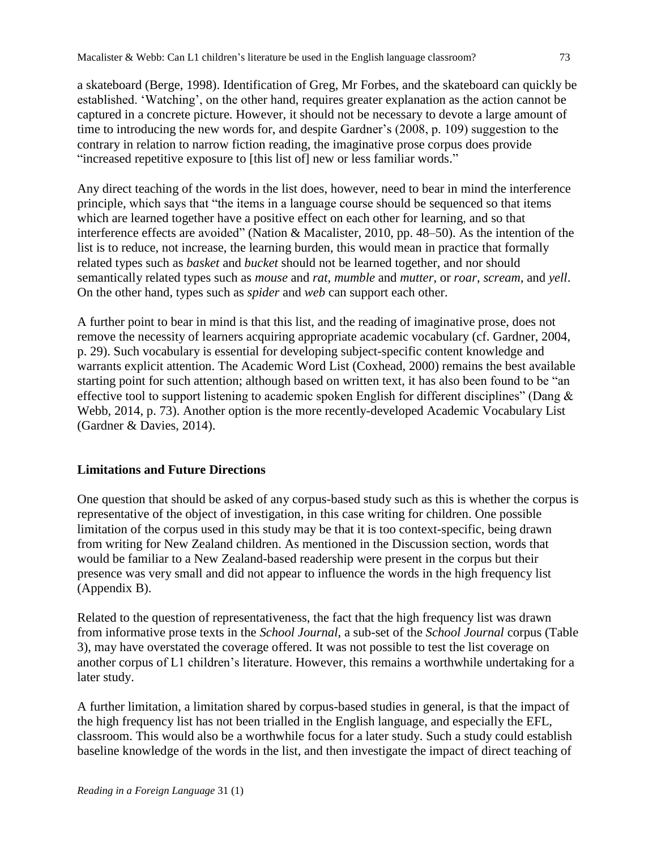a skateboard (Berge, 1998). Identification of Greg, Mr Forbes, and the skateboard can quickly be established. 'Watching', on the other hand, requires greater explanation as the action cannot be captured in a concrete picture. However, it should not be necessary to devote a large amount of time to introducing the new words for, and despite Gardner's (2008, p. 109) suggestion to the contrary in relation to narrow fiction reading, the imaginative prose corpus does provide "increased repetitive exposure to [this list of] new or less familiar words."

Any direct teaching of the words in the list does, however, need to bear in mind the interference principle, which says that "the items in a language course should be sequenced so that items which are learned together have a positive effect on each other for learning, and so that interference effects are avoided" (Nation & Macalister, 2010, pp. 48–50). As the intention of the list is to reduce, not increase, the learning burden, this would mean in practice that formally related types such as *basket* and *bucket* should not be learned together, and nor should semantically related types such as *mouse* and *rat*, *mumble* and *mutter*, or *roar*, *scream*, and *yell*. On the other hand, types such as *spider* and *web* can support each other.

A further point to bear in mind is that this list, and the reading of imaginative prose, does not remove the necessity of learners acquiring appropriate academic vocabulary (cf. Gardner, 2004, p. 29). Such vocabulary is essential for developing subject-specific content knowledge and warrants explicit attention. The Academic Word List (Coxhead, 2000) remains the best available starting point for such attention; although based on written text, it has also been found to be "an effective tool to support listening to academic spoken English for different disciplines" (Dang & Webb, 2014, p. 73). Another option is the more recently-developed Academic Vocabulary List (Gardner & Davies, 2014).

# **Limitations and Future Directions**

One question that should be asked of any corpus-based study such as this is whether the corpus is representative of the object of investigation, in this case writing for children. One possible limitation of the corpus used in this study may be that it is too context-specific, being drawn from writing for New Zealand children. As mentioned in the Discussion section, words that would be familiar to a New Zealand-based readership were present in the corpus but their presence was very small and did not appear to influence the words in the high frequency list (Appendix B).

Related to the question of representativeness, the fact that the high frequency list was drawn from informative prose texts in the *School Journal*, a sub-set of the *School Journal* corpus (Table 3), may have overstated the coverage offered. It was not possible to test the list coverage on another corpus of L1 children's literature. However, this remains a worthwhile undertaking for a later study.

A further limitation, a limitation shared by corpus-based studies in general, is that the impact of the high frequency list has not been trialled in the English language, and especially the EFL, classroom. This would also be a worthwhile focus for a later study. Such a study could establish baseline knowledge of the words in the list, and then investigate the impact of direct teaching of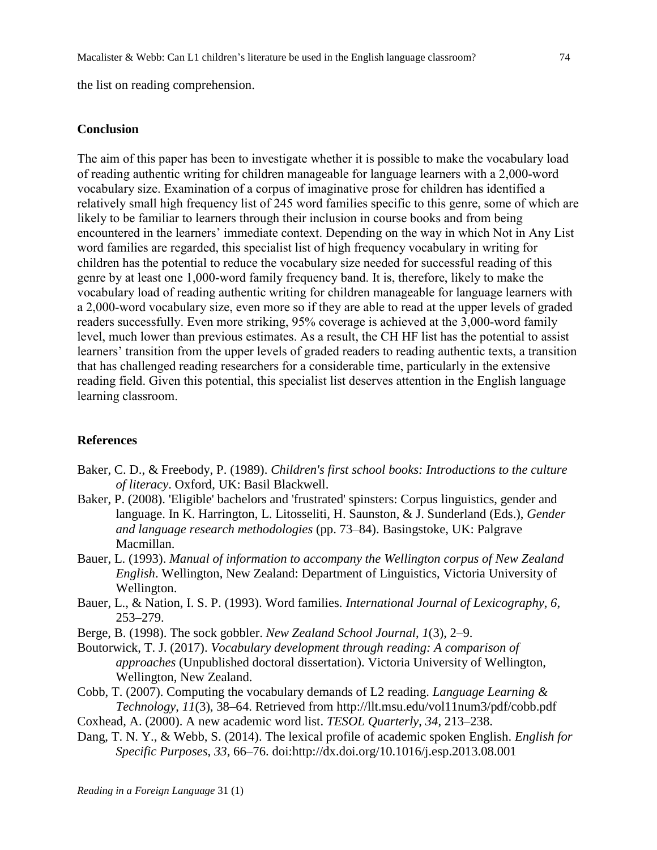the list on reading comprehension.

#### **Conclusion**

The aim of this paper has been to investigate whether it is possible to make the vocabulary load of reading authentic writing for children manageable for language learners with a 2,000-word vocabulary size. Examination of a corpus of imaginative prose for children has identified a relatively small high frequency list of 245 word families specific to this genre, some of which are likely to be familiar to learners through their inclusion in course books and from being encountered in the learners' immediate context. Depending on the way in which Not in Any List word families are regarded, this specialist list of high frequency vocabulary in writing for children has the potential to reduce the vocabulary size needed for successful reading of this genre by at least one 1,000-word family frequency band. It is, therefore, likely to make the vocabulary load of reading authentic writing for children manageable for language learners with a 2,000-word vocabulary size, even more so if they are able to read at the upper levels of graded readers successfully. Even more striking, 95% coverage is achieved at the 3,000-word family level, much lower than previous estimates. As a result, the CH HF list has the potential to assist learners' transition from the upper levels of graded readers to reading authentic texts, a transition that has challenged reading researchers for a considerable time, particularly in the extensive reading field. Given this potential, this specialist list deserves attention in the English language learning classroom.

#### **References**

- Baker, C. D., & Freebody, P. (1989). *Children's first school books: Introductions to the culture of literacy*. Oxford, UK: Basil Blackwell.
- Baker, P. (2008). 'Eligible' bachelors and 'frustrated' spinsters: Corpus linguistics, gender and language. In K. Harrington, L. Litosseliti, H. Saunston, & J. Sunderland (Eds.), *Gender and language research methodologies* (pp. 73–84). Basingstoke, UK: Palgrave Macmillan.
- Bauer, L. (1993). *Manual of information to accompany the Wellington corpus of New Zealand English*. Wellington, New Zealand: Department of Linguistics, Victoria University of Wellington.
- Bauer, L., & Nation, I. S. P. (1993). Word families. *International Journal of Lexicography*, *6*, 253–279.
- Berge, B. (1998). The sock gobbler. *New Zealand School Journal*, *1*(3), 2–9.
- Boutorwick, T. J. (2017). *Vocabulary development through reading: A comparison of approaches* (Unpublished doctoral dissertation). Victoria University of Wellington, Wellington, New Zealand.
- Cobb, T. (2007). Computing the vocabulary demands of L2 reading. *Language Learning & Technology*, *11*(3), 38–64. Retrieved from http://llt.msu.edu/vol11num3/pdf/cobb.pdf
- Coxhead, A. (2000). A new academic word list. *TESOL Quarterly*, *34*, 213–238.
- Dang, T. N. Y., & Webb, S. (2014). The lexical profile of academic spoken English. *English for Specific Purposes*, *33*, 66–76. doi:http://dx.doi.org/10.1016/j.esp.2013.08.001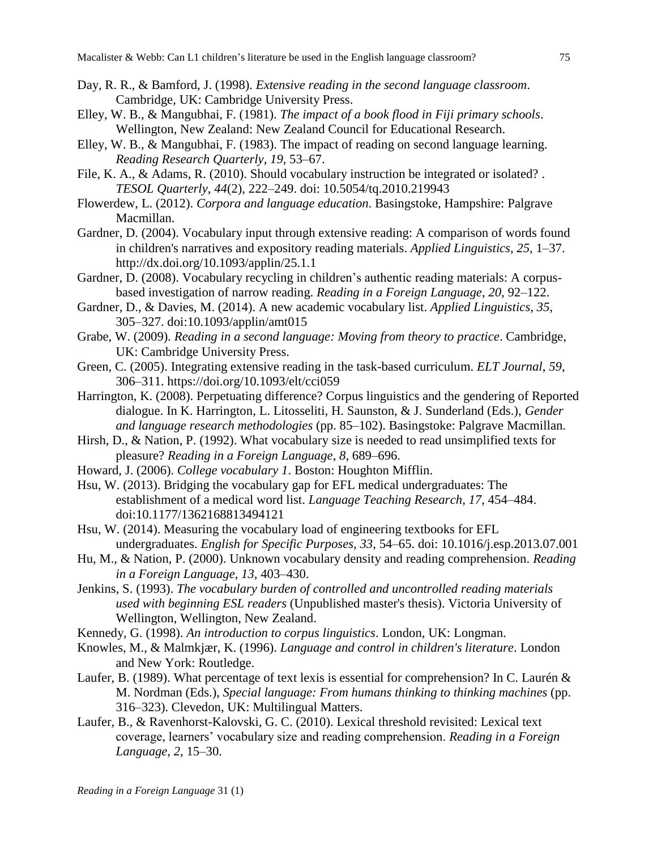- Day, R. R., & Bamford, J. (1998). *Extensive reading in the second language classroom*. Cambridge, UK: Cambridge University Press.
- Elley, W. B., & Mangubhai, F. (1981). *The impact of a book flood in Fiji primary schools*. Wellington, New Zealand: New Zealand Council for Educational Research.
- Elley, W. B., & Mangubhai, F. (1983). The impact of reading on second language learning. *Reading Research Quarterly*, *19*, 53–67.
- File, K. A., & Adams, R. (2010). Should vocabulary instruction be integrated or isolated?. *TESOL Quarterly*, *44*(2), 222–249. doi: 10.5054/tq.2010.219943
- Flowerdew, L. (2012). *Corpora and language education*. Basingstoke, Hampshire: Palgrave Macmillan.
- Gardner, D. (2004). Vocabulary input through extensive reading: A comparison of words found in children's narratives and expository reading materials. *Applied Linguistics*, *25*, 1–37. http://dx.doi.org/10.1093/applin/25.1.1
- Gardner, D. (2008). Vocabulary recycling in children's authentic reading materials: A corpusbased investigation of narrow reading. *Reading in a Foreign Language*, *20*, 92–122.
- Gardner, D., & Davies, M. (2014). A new academic vocabulary list. *Applied Linguistics*, *35*, 305–327. doi:10.1093/applin/amt015
- Grabe, W. (2009). *Reading in a second language: Moving from theory to practice*. Cambridge, UK: Cambridge University Press.
- Green, C. (2005). Integrating extensive reading in the task-based curriculum. *ELT Journal*, *59*, 306–311. https://doi.org/10.1093/elt/cci059
- Harrington, K. (2008). Perpetuating difference? Corpus linguistics and the gendering of Reported dialogue. In K. Harrington, L. Litosseliti, H. Saunston, & J. Sunderland (Eds.), *Gender and language research methodologies* (pp. 85–102). Basingstoke: Palgrave Macmillan.
- Hirsh, D., & Nation, P. (1992). What vocabulary size is needed to read unsimplified texts for pleasure? *Reading in a Foreign Language*, *8*, 689–696.
- Howard, J. (2006). *College vocabulary 1*. Boston: Houghton Mifflin.
- Hsu, W. (2013). Bridging the vocabulary gap for EFL medical undergraduates: The establishment of a medical word list. *Language Teaching Research*, *17*, 454–484. doi:10.1177/1362168813494121
- Hsu, W. (2014). Measuring the vocabulary load of engineering textbooks for EFL undergraduates. *English for Specific Purposes*, *33*, 54–65. doi: 10.1016/j.esp.2013.07.001
- Hu, M., & Nation, P. (2000). Unknown vocabulary density and reading comprehension. *Reading in a Foreign Language*, *13*, 403–430.
- Jenkins, S. (1993). *The vocabulary burden of controlled and uncontrolled reading materials used with beginning ESL readers* (Unpublished master's thesis). Victoria University of Wellington, Wellington, New Zealand.
- Kennedy, G. (1998). *An introduction to corpus linguistics*. London, UK: Longman.
- Knowles, M., & Malmkjær, K. (1996). *Language and control in children's literature*. London and New York: Routledge.
- Laufer, B. (1989). What percentage of text lexis is essential for comprehension? In C. Laurén & M. Nordman (Eds.), *Special language: From humans thinking to thinking machines* (pp. 316–323). Clevedon, UK: Multilingual Matters.
- Laufer, B., & Ravenhorst-Kalovski, G. C. (2010). Lexical threshold revisited: Lexical text coverage, learners' vocabulary size and reading comprehension. *Reading in a Foreign Language*, *2*, 15–30.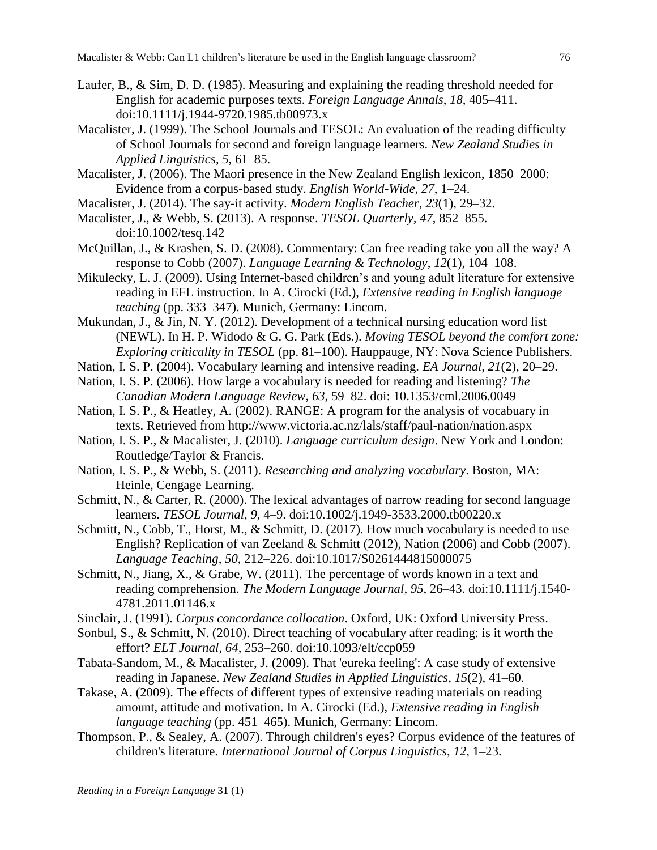- Laufer, B., & Sim, D. D. (1985). Measuring and explaining the reading threshold needed for English for academic purposes texts. *Foreign Language Annals*, *18*, 405–411. doi:10.1111/j.1944-9720.1985.tb00973.x
- Macalister, J. (1999). The School Journals and TESOL: An evaluation of the reading difficulty of School Journals for second and foreign language learners. *New Zealand Studies in Applied Linguistics*, *5*, 61–85.
- Macalister, J. (2006). The Maori presence in the New Zealand English lexicon, 1850–2000: Evidence from a corpus-based study. *English World-Wide*, *27*, 1–24.
- Macalister, J. (2014). The say-it activity. *Modern English Teacher*, *23*(1), 29–32.
- Macalister, J., & Webb, S. (2013). A response. *TESOL Quarterly, 47*, 852–855. doi:10.1002/tesq.142
- McQuillan, J., & Krashen, S. D. (2008). Commentary: Can free reading take you all the way? A response to Cobb (2007). *Language Learning & Technology*, *12*(1), 104–108.
- Mikulecky, L. J. (2009). Using Internet-based children's and young adult literature for extensive reading in EFL instruction. In A. Cirocki (Ed.), *Extensive reading in English language teaching* (pp. 333–347). Munich, Germany: Lincom.
- Mukundan, J., & Jin, N. Y. (2012). Development of a technical nursing education word list (NEWL). In H. P. Widodo & G. G. Park (Eds.). *Moving TESOL beyond the comfort zone: Exploring criticality in TESOL* (pp. 81–100). Hauppauge, NY: Nova Science Publishers.
- Nation, I. S. P. (2004). Vocabulary learning and intensive reading. *EA Journal, 21*(2), 20–29.
- Nation, I. S. P. (2006). How large a vocabulary is needed for reading and listening? *The Canadian Modern Language Review*, *63*, 59–82. doi: 10.1353/cml.2006.0049
- Nation, I. S. P., & Heatley, A. (2002). RANGE: A program for the analysis of vocabuary in texts. Retrieved from http://www.victoria.ac.nz/lals/staff/paul-nation/nation.aspx
- Nation, I. S. P., & Macalister, J. (2010). *Language curriculum design*. New York and London: Routledge/Taylor & Francis.
- Nation, I. S. P., & Webb, S. (2011). *Researching and analyzing vocabulary*. Boston, MA: Heinle, Cengage Learning.
- Schmitt, N., & Carter, R. (2000). The lexical advantages of narrow reading for second language learners. *TESOL Journal*, *9*, 4–9. doi:10.1002/j.1949-3533.2000.tb00220.x
- Schmitt, N., Cobb, T., Horst, M., & Schmitt, D. (2017). How much vocabulary is needed to use English? Replication of van Zeeland & Schmitt (2012), Nation (2006) and Cobb (2007). *Language Teaching*, *50*, 212–226. doi:10.1017/S0261444815000075
- Schmitt, N., Jiang, X., & Grabe, W. (2011). The percentage of words known in a text and reading comprehension. *The Modern Language Journal*, *95*, 26–43. doi:10.1111/j.1540- 4781.2011.01146.x
- Sinclair, J. (1991). *Corpus concordance collocation*. Oxford, UK: Oxford University Press.
- Sonbul, S., & Schmitt, N. (2010). Direct teaching of vocabulary after reading: is it worth the effort? *ELT Journal, 64*, 253–260. doi:10.1093/elt/ccp059
- Tabata-Sandom, M., & Macalister, J. (2009). That 'eureka feeling': A case study of extensive reading in Japanese. *New Zealand Studies in Applied Linguistics*, *15*(2), 41–60.
- Takase, A. (2009). The effects of different types of extensive reading materials on reading amount, attitude and motivation. In A. Cirocki (Ed.), *Extensive reading in English language teaching* (pp. 451–465). Munich, Germany: Lincom.
- Thompson, P., & Sealey, A. (2007). Through children's eyes? Corpus evidence of the features of children's literature. *International Journal of Corpus Linguistics*, *12*, 1–23.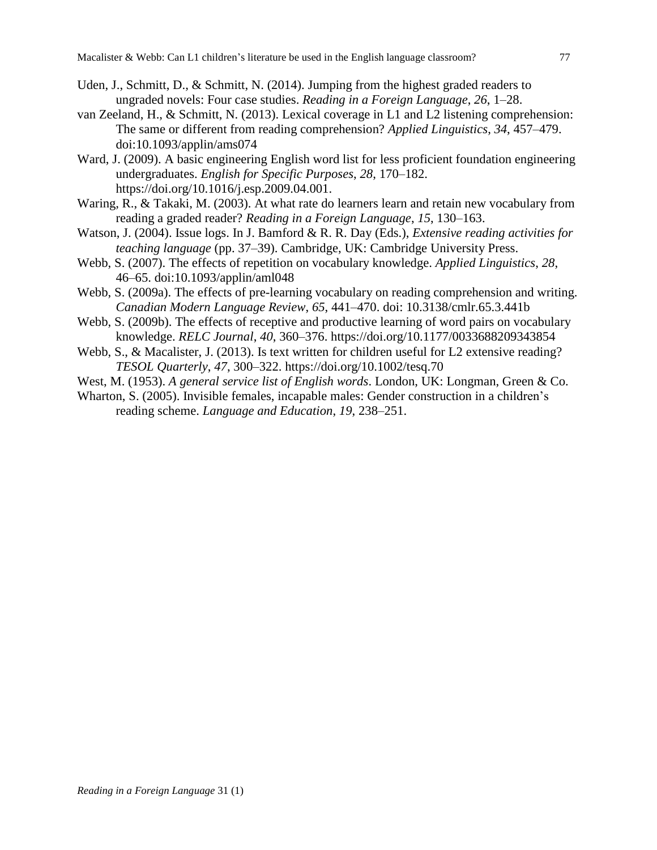- Uden, J., Schmitt, D., & Schmitt, N. (2014). Jumping from the highest graded readers to ungraded novels: Four case studies. *Reading in a Foreign Language*, *26*, 1–28.
- van Zeeland, H., & Schmitt, N. (2013). Lexical coverage in L1 and L2 listening comprehension: The same or different from reading comprehension? *Applied Linguistics*, *34*, 457–479. doi:10.1093/applin/ams074
- Ward, J. (2009). A basic engineering English word list for less proficient foundation engineering undergraduates. *English for Specific Purposes*, *28*, 170–182. https://doi.org/10.1016/j.esp.2009.04.001.
- Waring, R., & Takaki, M. (2003). At what rate do learners learn and retain new vocabulary from reading a graded reader? *Reading in a Foreign Language*, *15*, 130–163.
- Watson, J. (2004). Issue logs. In J. Bamford & R. R. Day (Eds.), *Extensive reading activities for teaching language* (pp. 37–39). Cambridge, UK: Cambridge University Press.
- Webb, S. (2007). The effects of repetition on vocabulary knowledge. *Applied Linguistics*, *28*, 46–65. doi:10.1093/applin/aml048
- Webb, S. (2009a). The effects of pre-learning vocabulary on reading comprehension and writing. *Canadian Modern Language Review*, *65*, 441–470. doi: 10.3138/cmlr.65.3.441b
- Webb, S. (2009b). The effects of receptive and productive learning of word pairs on vocabulary knowledge. *RELC Journal*, *40*, 360–376. https://doi.org/10.1177/0033688209343854
- Webb, S., & Macalister, J. (2013). Is text written for children useful for L2 extensive reading? *TESOL Quarterly*, *47*, 300–322. https://doi.org/10.1002/tesq.70
- West, M. (1953). *A general service list of English words*. London, UK: Longman, Green & Co.
- Wharton, S. (2005). Invisible females, incapable males: Gender construction in a children's reading scheme. *Language and Education*, *19*, 238–251.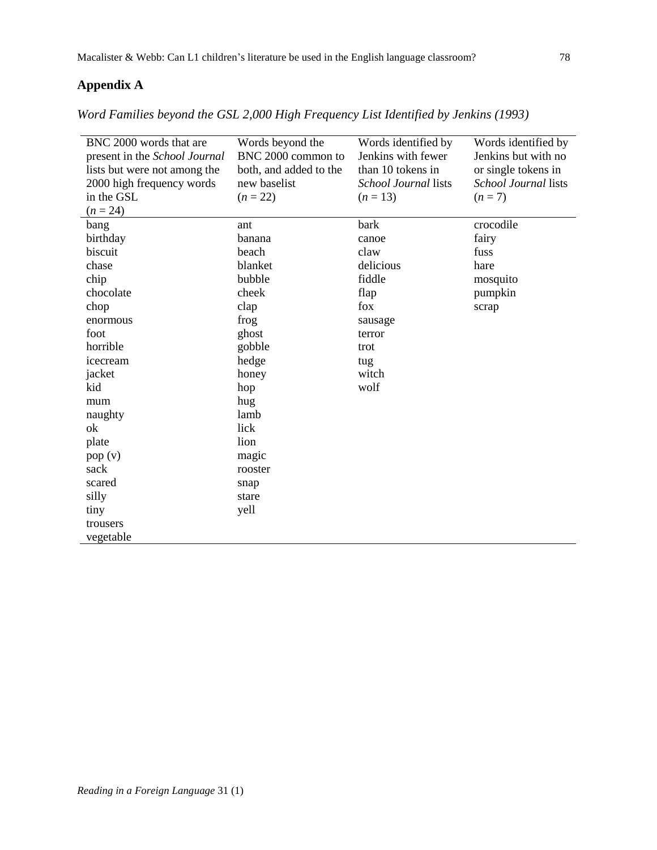# **Appendix A**

*Word Families beyond the GSL 2,000 High Frequency List Identified by Jenkins (1993)*

| BNC 2000 words that are<br>present in the School Journal<br>lists but were not among the<br>2000 high frequency words<br>in the GSL<br>$(n = 24)$ | Words beyond the<br>BNC 2000 common to<br>both, and added to the<br>new baselist<br>$(n = 22)$ | Words identified by<br>Jenkins with fewer<br>than 10 tokens in<br>School Journal lists<br>$(n = 13)$ | Words identified by<br>Jenkins but with no<br>or single tokens in<br>School Journal lists<br>$(n=7)$ |
|---------------------------------------------------------------------------------------------------------------------------------------------------|------------------------------------------------------------------------------------------------|------------------------------------------------------------------------------------------------------|------------------------------------------------------------------------------------------------------|
| bang                                                                                                                                              | ant                                                                                            | bark                                                                                                 | crocodile                                                                                            |
| birthday                                                                                                                                          | banana                                                                                         | canoe                                                                                                | fairy                                                                                                |
| biscuit                                                                                                                                           | beach                                                                                          | claw                                                                                                 | fuss                                                                                                 |
| chase                                                                                                                                             | blanket                                                                                        | delicious                                                                                            | hare                                                                                                 |
| chip                                                                                                                                              | bubble                                                                                         | fiddle                                                                                               | mosquito                                                                                             |
| chocolate                                                                                                                                         | cheek                                                                                          | flap                                                                                                 | pumpkin                                                                                              |
| chop                                                                                                                                              | clap                                                                                           | fox                                                                                                  | scrap                                                                                                |
| enormous                                                                                                                                          | frog                                                                                           |                                                                                                      |                                                                                                      |
| foot                                                                                                                                              | ghost                                                                                          | sausage<br>terror                                                                                    |                                                                                                      |
| horrible                                                                                                                                          | gobble                                                                                         | trot                                                                                                 |                                                                                                      |
| icecream                                                                                                                                          | hedge                                                                                          | tug                                                                                                  |                                                                                                      |
| jacket                                                                                                                                            | honey                                                                                          | witch                                                                                                |                                                                                                      |
| kid                                                                                                                                               | hop                                                                                            | wolf                                                                                                 |                                                                                                      |
| mum                                                                                                                                               | hug                                                                                            |                                                                                                      |                                                                                                      |
| naughty                                                                                                                                           | lamb                                                                                           |                                                                                                      |                                                                                                      |
| ok                                                                                                                                                | lick                                                                                           |                                                                                                      |                                                                                                      |
| plate                                                                                                                                             | lion                                                                                           |                                                                                                      |                                                                                                      |
| pop(v)                                                                                                                                            | magic                                                                                          |                                                                                                      |                                                                                                      |
| sack                                                                                                                                              | rooster                                                                                        |                                                                                                      |                                                                                                      |
| scared                                                                                                                                            |                                                                                                |                                                                                                      |                                                                                                      |
| silly                                                                                                                                             | snap<br>stare                                                                                  |                                                                                                      |                                                                                                      |
| tiny                                                                                                                                              | yell                                                                                           |                                                                                                      |                                                                                                      |
| trousers                                                                                                                                          |                                                                                                |                                                                                                      |                                                                                                      |
|                                                                                                                                                   |                                                                                                |                                                                                                      |                                                                                                      |
| vegetable                                                                                                                                         |                                                                                                |                                                                                                      |                                                                                                      |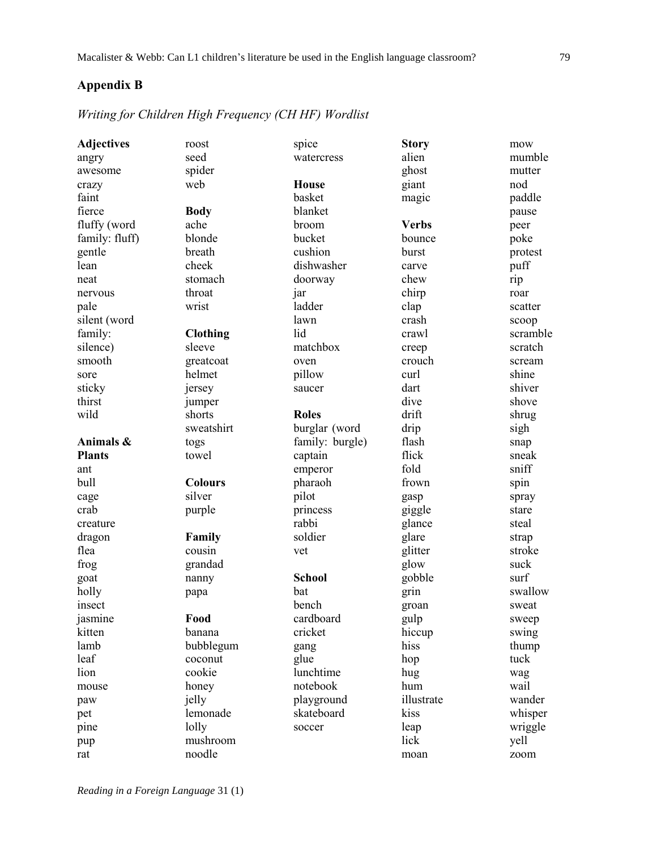# **Appendix B**

# *Writing for Children High Frequency (CH HF) Wordlist*

| <b>Adjectives</b> | roost           | spice           | <b>Story</b> | mow      |
|-------------------|-----------------|-----------------|--------------|----------|
| angry             | seed            | watercress      | alien        | mumble   |
| awesome           | spider          |                 | ghost        | mutter   |
| crazy             | web             | <b>House</b>    | giant        | nod      |
| faint             |                 | basket          | magic        | paddle   |
| fierce            | <b>Body</b>     | blanket         |              | pause    |
| fluffy (word      | ache            | broom           | <b>Verbs</b> | peer     |
| family: fluff)    | blonde          | bucket          | bounce       | poke     |
| gentle            | breath          | cushion         | burst        | protest  |
| lean              | cheek           | dishwasher      | carve        | puff     |
| neat              | stomach         | doorway         | chew         | rip      |
| nervous           | throat          | jar             | chirp        | roar     |
| pale              | wrist           | ladder          | clap         | scatter  |
| silent (word      |                 | lawn            | crash        | scoop    |
| family:           | <b>Clothing</b> | lid             | crawl        | scramble |
| silence)          | sleeve          | matchbox        | creep        | scratch  |
| smooth            | greatcoat       | oven            | crouch       | scream   |
| sore              | helmet          | pillow          | curl         | shine    |
| sticky            | jersey          | saucer          | dart         | shiver   |
| thirst            | jumper          |                 | dive         | shove    |
| wild              | shorts          | <b>Roles</b>    | drift        | shrug    |
|                   | sweatshirt      | burglar (word   | drip         | sigh     |
| Animals &         | togs            | family: burgle) | flash        | snap     |
| <b>Plants</b>     | towel           | captain         | flick        | sneak    |
| ant               |                 | emperor         | fold         | sniff    |
| bull              | <b>Colours</b>  | pharaoh         | frown        | spin     |
| cage              | silver          | pilot           | gasp         | spray    |
| crab              | purple          | princess        | giggle       | stare    |
| creature          |                 | rabbi           | glance       | steal    |
| dragon            | Family          | soldier         | glare        | strap    |
| flea              | cousin          | vet             | glitter      | stroke   |
| frog              | grandad         |                 | glow         | suck     |
| goat              | nanny           | <b>School</b>   | gobble       | surf     |
| holly             | papa            | bat             | grin         | swallow  |
| insect            |                 | bench           | groan        | sweat    |
| jasmine           | Food            | cardboard       | gulp         | sweep    |
| kitten            | banana          | cricket         | hiccup       | swing    |
| lamb              | bubblegum       | gang            | hiss         | thump    |
| leaf              | coconut         | glue            | hop          | tuck     |
| lion              | cookie          | lunchtime       | hug          | wag      |
| mouse             | honey           | notebook        | hum          | wail     |
| paw               | jelly           | playground      | illustrate   | wander   |
| pet               | lemonade        | skateboard      | kiss         | whisper  |
|                   | lolly           |                 |              | wriggle  |
| pine              | mushroom        | soccer          | leap<br>lick |          |
| pup               | noodle          |                 |              | yell     |
| rat               |                 |                 | moan         | zoom     |